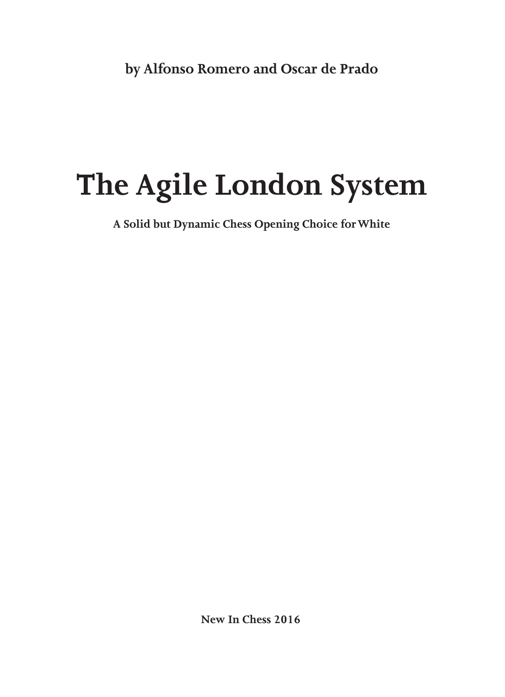# **The Agile London System**

**A Solid but Dynamic Chess Opening Choice for White**

**New In Chess 2016**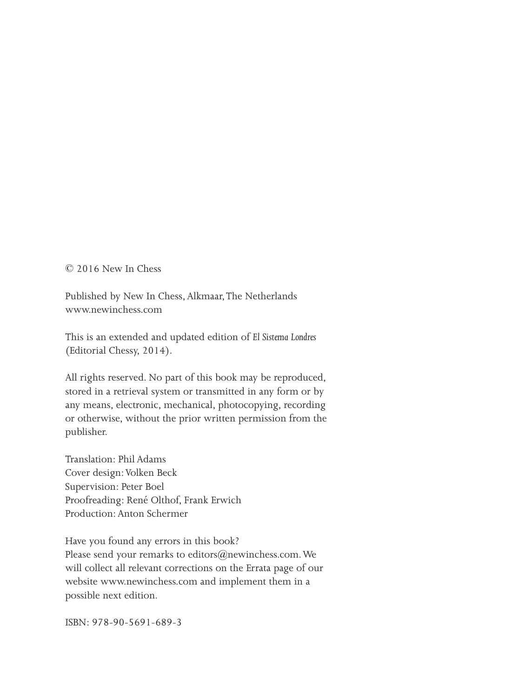© 2016 New In Chess

Published by New In Chess, Alkmaar, The Netherlands www.newinchess.com

This is an extended and updated edition of *El Sistema Londres* (Editorial Chessy, 2014).

All rights reserved. No part of this book may be reproduced, stored in a retrieval system or transmitted in any form or by any means, electronic, mechanical, photocopying, recording or otherwise, without the prior written permission from the publisher.

Translation: Phil Adams Cover design: Volken Beck Supervision: Peter Boel Proofreading: René Olthof, Frank Erwich Production: Anton Schermer

Have you found any errors in this book? Please send your remarks to editors@newinchess.com. We will collect all relevant corrections on the Errata page of our website www.newinchess.com and implement them in a possible next edition.

ISBN: 978-90-5691-689-3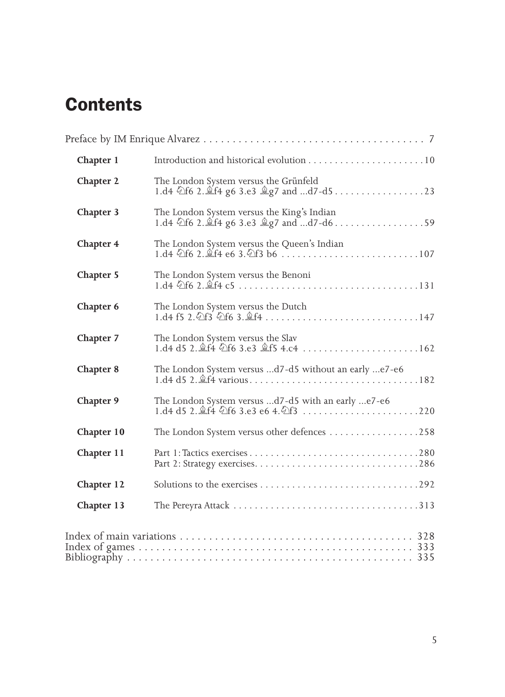### **Contents**

| Chapter 1  |                                                                                         |
|------------|-----------------------------------------------------------------------------------------|
| Chapter 2  | The London System versus the Grünfeld                                                   |
| Chapter 3  | The London System versus the King's Indian<br>1.d4 公f6 2. 道f4 g6 3.e3 皇g7 and d7-d6 59  |
| Chapter 4  | The London System versus the Queen's Indian                                             |
| Chapter 5  | The London System versus the Benoni                                                     |
| Chapter 6  | The London System versus the Dutch                                                      |
| Chapter 7  | The London System versus the Slav<br>1.d4 d5 2. <i>Lf4</i> ①f6 3.e3 <i>Lf5</i> 4.c4 162 |
| Chapter 8  | The London System versus d7-d5 without an early e7-e6                                   |
| Chapter 9  | The London System versus d7-d5 with an early e7-e6                                      |
| Chapter 10 | The London System versus other defences 258                                             |
| Chapter 11 |                                                                                         |
| Chapter 12 |                                                                                         |
| Chapter 13 |                                                                                         |
|            |                                                                                         |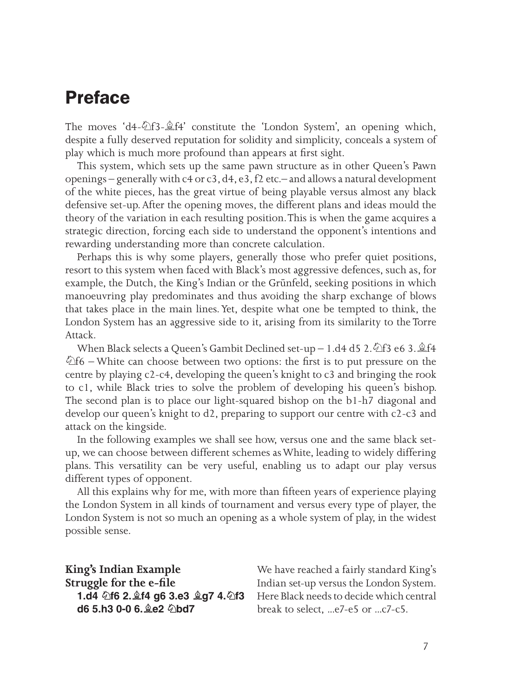### **Preface**

The moves 'd4- $\Delta$ f3- $\hat{\mathbb{E}}$ f4' constitute the 'London System', an opening which, despite a fully deserved reputation for solidity and simplicity, conceals a system of play which is much more profound than appears at first sight.

This system, which sets up the same pawn structure as in other Queen's Pawn openings – generally with c4 or c3, d4, e3, f2 etc.– and allows a natural development of the white pieces, has the great virtue of being playable versus almost any black defensive set-up. After the opening moves, the different plans and ideas mould the theory of the variation in each resulting position. This is when the game acquires a strategic direction, forcing each side to understand the opponent's intentions and rewarding understanding more than concrete calculation.

Perhaps this is why some players, generally those who prefer quiet positions, resort to this system when faced with Black's most aggressive defences, such as, for example, the Dutch, the King's Indian or the Grünfeld, seeking positions in which manoeuvring play predominates and thus avoiding the sharp exchange of blows that takes place in the main lines. Yet, despite what one be tempted to think, the London System has an aggressive side to it, arising from its similarity to the Torre Attack.

When Black selects a Queen's Gambit Declined set-up – 1.d4 d5 2.  $\triangle$ f3 e6 3.  $\triangle$ f4  $\&$ f6 – White can choose between two options: the first is to put pressure on the centre by playing c2-c4, developing the queen's knight to c3 and bringing the rook to c1, while Black tries to solve the problem of developing his queen's bishop. The second plan is to place our light-squared bishop on the b1-h7 diagonal and develop our queen's knight to d2, preparing to support our centre with c2-c3 and attack on the kingside.

In the following examples we shall see how, versus one and the same black setup, we can choose between different schemes as White, leading to widely differing plans. This versatility can be very useful, enabling us to adapt our play versus different types of opponent.

All this explains why for me, with more than fifteen years of experience playing the London System in all kinds of tournament and versus every type of player, the London System is not so much an opening as a whole system of play, in the widest possible sense.

**King's Indian Example Struggle for the e-file 1.d4 ♘f6 2.♗f4 g6 3.e3 ♗g7 4.♘f3 d6 5.h3 0‑0 6.♗e2 ♘bd7**

We have reached a fairly standard King's Indian set-up versus the London System. Here Black needs to decide which central break to select, ...e7-e5 or ...c7-c5.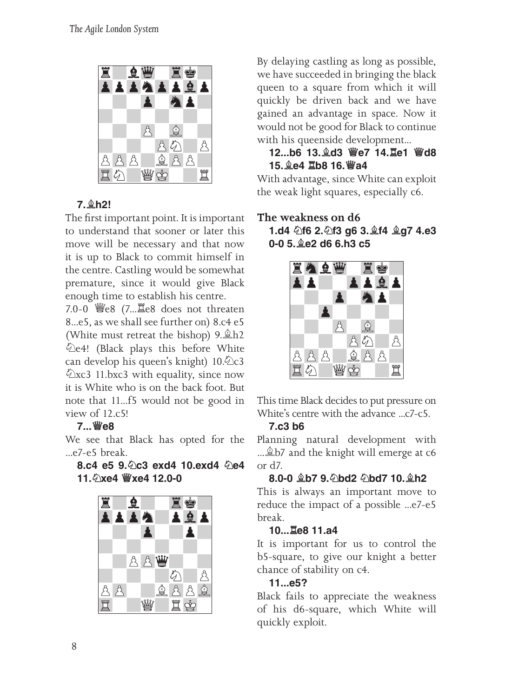

### **7.♗h2!**

The first important point. It is important to understand that sooner or later this move will be necessary and that now it is up to Black to commit himself in the centre. Castling would be somewhat premature, since it would give Black enough time to establish his centre.

7.0‑0 ♕e8 (7...♖e8 does not threaten 8...e5, as we shall see further on) 8.c4 e5 (White must retreat the bishop) 9.♗h2 ♘e4! (Black plays this before White can develop his queen's knight) 10.♘c3 ♘xc3 11.bxc3 with equality, since now it is White who is on the back foot. But note that 11...f5 would not be good in view of 12.c5!

#### **7...♕e8**

We see that Black has opted for the ...e7-e5 break.

**8.c4 e5 9.♘c3 exd4 10.exd4 ♘e4 11.♘xe4 ♕xe4 12.0‑0**



By delaying castling as long as possible, we have succeeded in bringing the black queen to a square from which it will quickly be driven back and we have gained an advantage in space. Now it would not be good for Black to continue with his queenside development...

#### **12...b6 13.♗d3 ♕e7 14.♖e1 ♕d8 15.♗e4 ♖b8 16.♕a4**

With advantage, since White can exploit the weak light squares, especially c6.

#### **The weakness on d6 1.d4 ♘f6 2.♘f3 g6 3.♗f4 ♗g7 4.e3 0‑0 5.♗e2 d6 6.h3 c5**



This time Black decides to put pressure on White's centre with the advance ...c7-c5.

#### **7.c3 b6**

Planning natural development with ... **b**/2 and the knight will emerge at c6 or d7.

#### **8.0‑0 ♗b7 9.♘bd2 ♘bd7 10.♗h2**

This is always an important move to reduce the impact of a possible ...e7-e5 break.

#### **10...♖e8 11.a4**

It is important for us to control the b5-square, to give our knight a better chance of stability on c4.

#### **11...e5?**

Black fails to appreciate the weakness of his d6-square, which White will quickly exploit.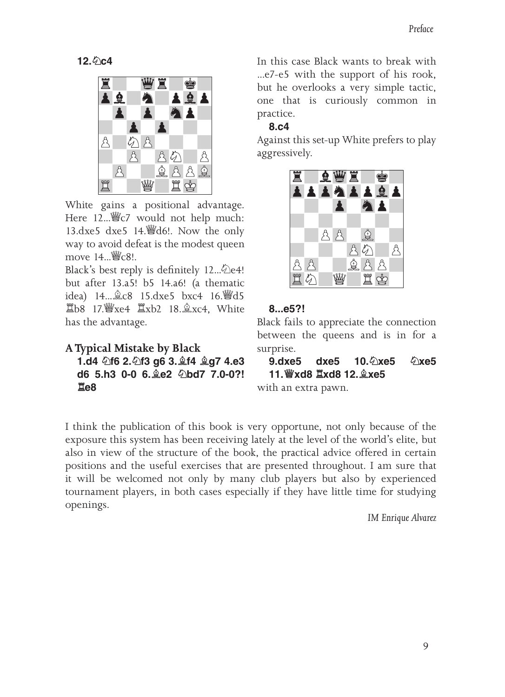**12.♘c4**



White gains a positional advantage. Here 12... *s*c/ would not help much: 13.dxe5 dxe5 14.♕d6!. Now the only way to avoid defeat is the modest queen move 14...  $\mathcal{W}_C$  c8!.

Black's best reply is definitely 12... 2e4! but after 13.a5! b5 14.a6! (a thematic idea) 14...♗c8 15.dxe5 bxc4 16.♕d5 ♖b8 17.♕xe4 ♖xb2 18.♗xc4, White has the advantage.

```
A Typical Mistake by Black
```
**1.d4 ♘f6 2.♘f3 g6 3.♗f4 ♗g7 4.e3 d6 5.h3 0‑0 6.♗e2 ♘bd7 7.0‑0?! ♖e8**

In this case Black wants to break with ...e7-e5 with the support of his rook, but he overlooks a very simple tactic, one that is curiously common in practice.

#### **8.c4**

Against this set-up White prefers to play aggressively.



#### **8...e5?!**

Black fails to appreciate the connection between the queens and is in for a surprise.

**9.dxe5 dxe5 10.♘xe5 ♘xe5 11.♕xd8 ♖xd8 12.♗xe5**

with an extra pawn.

I think the publication of this book is very opportune, not only because of the exposure this system has been receiving lately at the level of the world's elite, but also in view of the structure of the book, the practical advice offered in certain positions and the useful exercises that are presented throughout. I am sure that it will be welcomed not only by many club players but also by experienced tournament players, in both cases especially if they have little time for studying openings.

*IM Enrique Alvarez*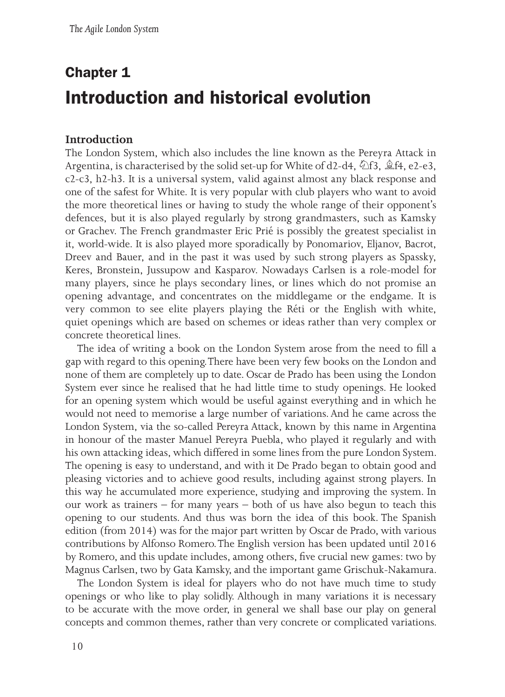## **Chapter 1 Introduction and historical evolution**

#### **Introduction**

The London System, which also includes the line known as the Pereyra Attack in Argentina, is characterised by the solid set-up for White of d2-d4,  $\triangle$ f3,  $\triangleq$ f4, e2-e3, c2-c3, h2-h3. It is a universal system, valid against almost any black response and one of the safest for White. It is very popular with club players who want to avoid the more theoretical lines or having to study the whole range of their opponent's defences, but it is also played regularly by strong grandmasters, such as Kamsky or Grachev. The French grandmaster Eric Prié is possibly the greatest specialist in it, world-wide. It is also played more sporadically by Ponomariov, Eljanov, Bacrot, Dreev and Bauer, and in the past it was used by such strong players as Spassky, Keres, Bronstein, Jussupow and Kasparov. Nowadays Carlsen is a role-model for many players, since he plays secondary lines, or lines which do not promise an opening advantage, and concentrates on the middlegame or the endgame. It is very common to see elite players playing the Réti or the English with white, quiet openings which are based on schemes or ideas rather than very complex or concrete theoretical lines.

The idea of writing a book on the London System arose from the need to fill a gap with regard to this opening. There have been very few books on the London and none of them are completely up to date. Oscar de Prado has been using the London System ever since he realised that he had little time to study openings. He looked for an opening system which would be useful against everything and in which he would not need to memorise a large number of variations. And he came across the London System, via the so-called Pereyra Attack, known by this name in Argentina in honour of the master Manuel Pereyra Puebla, who played it regularly and with his own attacking ideas, which differed in some lines from the pure London System. The opening is easy to understand, and with it De Prado began to obtain good and pleasing victories and to achieve good results, including against strong players. In this way he accumulated more experience, studying and improving the system. In our work as trainers – for many years – both of us have also begun to teach this opening to our students. And thus was born the idea of this book. The Spanish edition (from 2014) was for the major part written by Oscar de Prado, with various contributions by Alfonso Romero. The English version has been updated until 2016 by Romero, and this update includes, among others, five crucial new games: two by Magnus Carlsen, two by Gata Kamsky, and the important game Grischuk-Nakamura.

The London System is ideal for players who do not have much time to study openings or who like to play solidly. Although in many variations it is necessary to be accurate with the move order, in general we shall base our play on general concepts and common themes, rather than very concrete or complicated variations.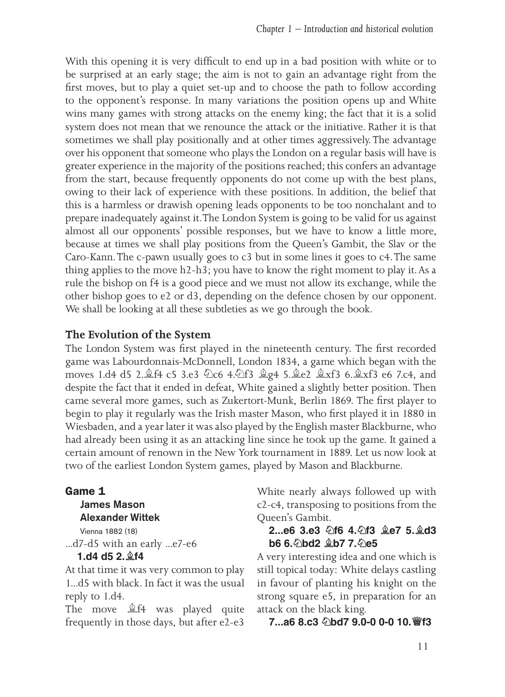With this opening it is very difficult to end up in a bad position with white or to be surprised at an early stage; the aim is not to gain an advantage right from the first moves, but to play a quiet set-up and to choose the path to follow according to the opponent's response. In many variations the position opens up and White wins many games with strong attacks on the enemy king; the fact that it is a solid system does not mean that we renounce the attack or the initiative. Rather it is that sometimes we shall play positionally and at other times aggressively. The advantage over his opponent that someone who plays the London on a regular basis will have is greater experience in the majority of the positions reached; this confers an advantage from the start, because frequently opponents do not come up with the best plans, owing to their lack of experience with these positions. In addition, the belief that this is a harmless or drawish opening leads opponents to be too nonchalant and to prepare inadequately against it. The London System is going to be valid for us against almost all our opponents' possible responses, but we have to know a little more, because at times we shall play positions from the Queen's Gambit, the Slav or the Caro-Kann. The c-pawn usually goes to c3 but in some lines it goes to c4. The same thing applies to the move h2-h3; you have to know the right moment to play it. As a rule the bishop on f4 is a good piece and we must not allow its exchange, while the other bishop goes to e2 or d3, depending on the defence chosen by our opponent. We shall be looking at all these subtleties as we go through the book.

#### **The Evolution of the System**

The London System was first played in the nineteenth century. The first recorded game was Labourdonnais-McDonnell, London 1834, a game which began with the moves 1.d4 d5 2.♗f4 c5 3.e3 ♘c6 4.♘f3 ♗g4 5.♗e2 ♗xf3 6.♗xf3 e6 7.c4, and despite the fact that it ended in defeat, White gained a slightly better position. Then came several more games, such as Zukertort-Munk, Berlin 1869. The first player to begin to play it regularly was the Irish master Mason, who first played it in 1880 in Wiesbaden, and a year later it was also played by the English master Blackburne, who had already been using it as an attacking line since he took up the game. It gained a certain amount of renown in the New York tournament in 1889. Let us now look at two of the earliest London System games, played by Mason and Blackburne.

#### **Game 1**

#### James Mason Alexander Wittek

Vienna 1882 (18) ...d7-d5 with an early ...e7-e6

#### **1.d4 d5 2.♗f4**

At that time it was very common to play 1...d5 with black. In fact it was the usual reply to 1.d4.

The move ♗f4 was played quite frequently in those days, but after e2-e3

White nearly always followed up with c2-c4, transposing to positions from the Queen's Gambit.

#### **2...e6 3.e3 ♘f6 4.♘f3 ♗e7 5.♗d3 b6 6.♘bd2 ♗b7 7.♘e5**

A very interesting idea and one which is still topical today: White delays castling in favour of planting his knight on the strong square e5, in preparation for an attack on the black king.

**7...a6 8.c3 ♘bd7 9.0-0 0-0 10.♕f3**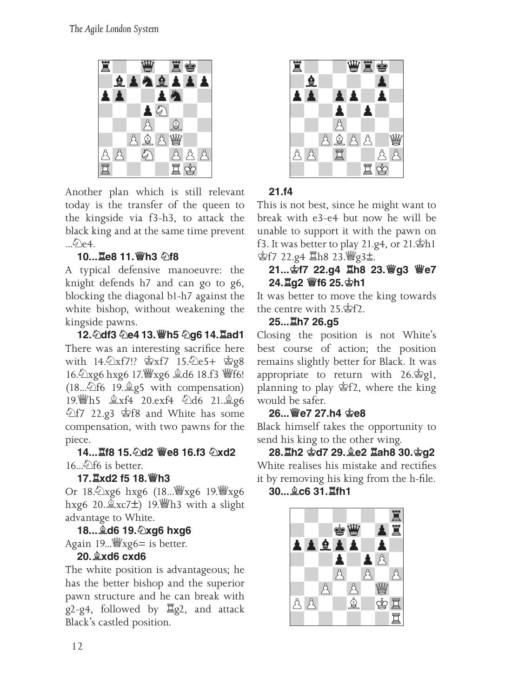

Another plan which is still relevant today is the transfer of the queen to the kingside via f3-h3, to attack the black king and at the same time prevent  $\bigcirc$ e4.

#### **10...♖e8 11.♕h3 ♘f8**

A typical defensive manoeuvre: the knight defends h7 and can go to g6, blocking the diagonal b1-h7 against the white bishop, without weakening the kingside pawns.

**12.♘df3 ♘e4 13.♕h5 ♘g6 14.♖ad1** There was an interesting sacrifice here with 14.♘xf7!? ♔xf7 15.♘e5+ ♔g8 16.♘xg6 hxg6 17.♕xg6 ♗d6 18.f3 ♕f6! (18...♘f6 19.♗g5 with compensation) 19.♕h5 ♗xf4 20.exf4 ♘d6 21.♗g6 ♘f7 22.g3 ♔f8 and White has some compensation, with two pawns for the piece.

**14...♖f8 15.♘d2 ♕e8 16.f3 ♘xd2**  $16 \ldots \hat{9}$  f6 is better.

#### **17.♖xd2 f5 18.♕h3**

Or 18.♘xg6 hxg6 (18...♕xg6 19.♕xg6 hxg6 20. $\&xc7\pm$ ) 19. In with a slight advantage to White.

**18...♗d6 19.♘xg6 hxg6** Again 19...  $\mathscr{W}$ xg6 = is better.

#### **20.♗xd6 cxd6**

The white position is advantageous; he has the better bishop and the superior pawn structure and he can break with g2-g4, followed by ♖g2, and attack Black's castled position.



#### **21.f4**

This is not best, since he might want to break with e3-e4 but now he will be unable to support it with the pawn on f3. It was better to play 21.g4, or 21.♔h1 **空f7 22.g4 Ⅲh8 23. 曾g3±.** 

#### **21...♔f7 22.g4 ♖h8 23.♕g3 ♕e7 24.♖g2 ♕f6 25.♔h1**

It was better to move the king towards the centre with 25.♔f2.

#### **25...♖h7 26.g5**

Closing the position is not White's best course of action; the position remains slightly better for Black. It was appropriate to return with 26.♔g1, planning to play ♔f2, where the king would be safer.

#### **26...♕e7 27.h4 ♔e8**

Black himself takes the opportunity to send his king to the other wing.

**28.♖h2 ♔d7 29.♗e2 ♖ah8 30.♔g2** White realises his mistake and rectifies it by removing his king from the h-file. **30...♗c6 31.♖fh1**

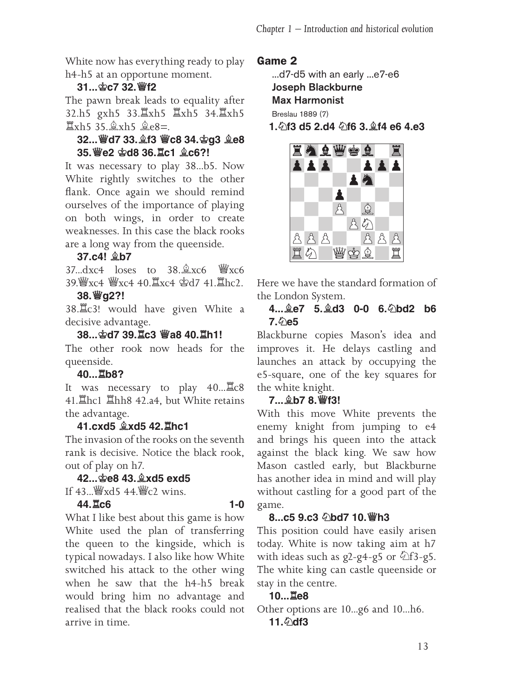White now has everything ready to play h4-h5 at an opportune moment.

#### **31...♔c7 32.♕f2**

The pawn break leads to equality after 32.h5 gxh5 33.♖xh5 ♖xh5 34.♖xh5 ♖xh5 35.♗xh5 ♗e8=.

#### **32...♕d7 33.♗f3 ♕c8 34.♔g3 ♗e8 35.♕e2 ♔d8 36.♖c1 ♗c6?!**

It was necessary to play 38...b5. Now White rightly switches to the other flank. Once again we should remind ourselves of the importance of playing on both wings, in order to create weaknesses. In this case the black rooks are a long way from the queenside.

#### **37.c4! ♗b7**

 $37.\text{d}xc4$  loses to  $38.\text{L}xc6$   $\overset{\text{w}}{=}xcc6$ 39.♕xc4 ♕xc4 40.♖xc4 ♔d7 41.♖hc2.

#### **38.♕g2?!**

38.♖c3! would have given White a decisive advantage.

#### **38...♔d7 39.♖c3 ♕a8 40.♖h1!**

The other rook now heads for the queenside.

#### **40...♖b8?**

It was necessary to play 40...♖c8 41.♖hc1 ♖hh8 42.a4, but White retains the advantage.

#### **41.cxd5 ♗xd5 42.♖hc1**

The invasion of the rooks on the seventh rank is decisive. Notice the black rook, out of play on h7.

#### **42...♔e8 43.♗xd5 exd5**

If 43...♕xd5 44.♕c2 wins.

#### **44.♖c6 1-0**

What I like best about this game is how White used the plan of transferring the queen to the kingside, which is typical nowadays. I also like how White switched his attack to the other wing when he saw that the h4-h5 break would bring him no advantage and realised that the black rooks could not arrive in time.

#### **Game 2**

...d7-d5 with an early ...e7-e6

Joseph Blackburne

Max Harmonist

Breslau 1889 (7)

**1.♘f3 d5 2.d4 ♘f6 3.♗f4 e6 4.e3**



Here we have the standard formation of the London System.

#### **4...♗e7 5.♗d3 0-0 6.♘bd2 b6 7.♘e5**

Blackburne copies Mason's idea and improves it. He delays castling and launches an attack by occupying the e5-square, one of the key squares for the white knight.

#### **7...♗b7 8.♕f3!**

With this move White prevents the enemy knight from jumping to e4 and brings his queen into the attack against the black king. We saw how Mason castled early, but Blackburne has another idea in mind and will play without castling for a good part of the game.

#### **8...c5 9.c3 ♘bd7 10.♕h3**

This position could have easily arisen today. White is now taking aim at h7 with ideas such as  $g2-g4-g5$  or  $\triangle f3-g5$ . The white king can castle queenside or stay in the centre.

#### **10...♖e8**

Other options are 10...g6 and 10...h6. 11. hdf3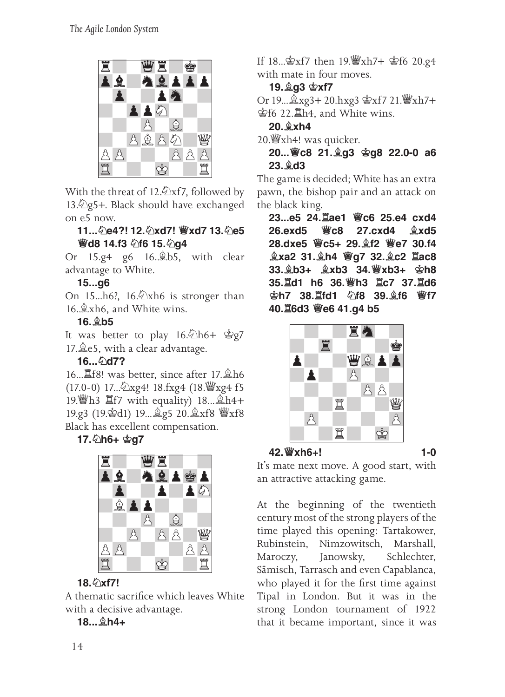

With the threat of 12. $\triangle$ xf7, followed by 13. 2g5+. Black should have exchanged on e5 now.

#### **11...♘e4?! 12.♘xd7! ♕xd7 13.♘e5 ♕d8 14.f3 ♘f6 15.♘g4**

Or 15.g4 g6 16.♗b5, with clear advantage to White.

#### **15...g6**

On 15...h6?, 16.<sup> $x$ </sup>xh6 is stronger than 16.♗xh6, and White wins.

#### **16.♗b5**

It was better to play 16. h6+ 宫g7 17.♗e5, with a clear advantage.

#### **16...♘d7?**

16...♖f8! was better, since after 17.♗h6 (17.0-0) 17...♘xg4! 18.fxg4 (18.♕xg4 f5 19.♕h3 ♖f7 with equality) 18...♗h4+ 19.g3 (19.♔d1) 19...♗g5 20.♗xf8 ♕xf8 Black has excellent compensation.

#### **17.♘h6+ ♔g7**



#### **18.♘xf7!**

A thematic sacrifice which leaves White with a decisive advantage.

#### **18...♗h4+**

If 18...♔xf7 then 19.♕xh7+ ♔f6 20.g4 with mate in four moves.

#### **19.♗g3 ♔xf7**

Or 19...♗xg3+ 20.hxg3 ♔xf7 21.♕xh7+ ♔f6 22.♖h4, and White wins.

#### **20.♗xh4**

20.♕xh4! was quicker.

**20...♕c8 21.♗g3 ♔g8 22.0-0 a6 23.♗d3**

The game is decided; White has an extra pawn, the bishop pair and an attack on the black king.

**23...e5 24.♖ae1 ♕c6 25.e4 cxd4 26.exd5 ♕c8 27.cxd4 ♗xd5 28.dxe5 ♕c5+ 29.♗f2 ♕e7 30.f4 ♗xa2 31.♗h4 ♕g7 32.♗c2 ♖ac8 33.♗b3+ ♗xb3 34.♕xb3+ ♔h8 35.♖d1 h6 36.♕h3 ♖c7 37.♖d6 ♔h7 38.♖fd1 ♘f8 39.♗f6 ♕f7 40.♖6d3 ♕e6 41.g4 b5**



#### **42.♕xh6+! 1-0**

It's mate next move. A good start, with an attractive attacking game.

At the beginning of the twentieth century most of the strong players of the time played this opening: Tartakower, Rubinstein, Nimzowitsch, Marshall, Maroczy, Janowsky, Schlechter, Sämisch, Tarrasch and even Capablanca, who played it for the first time against Tipal in London. But it was in the strong London tournament of 1922 that it became important, since it was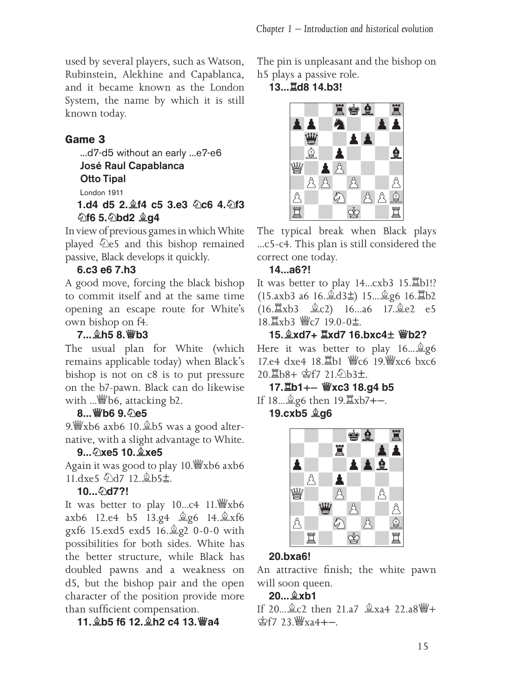used by several players, such as Watson, Rubinstein, Alekhine and Capablanca, and it became known as the London System, the name by which it is still known today.

#### **Game 3**

...d7-d5 without an early ...e7-e6

José Raul Capablanca

Otto Tipal

London 1911

#### **1.d4 d5 2.♗f4 c5 3.e3 ♘c6 4.♘f3 ♘f6 5.♘bd2 ♗g4**

In view of previous games in which White played ♘e5 and this bishop remained passive, Black develops it quickly.

#### **6.c3 e6 7.h3**

A good move, forcing the black bishop to commit itself and at the same time opening an escape route for White's own bishop on f4.

#### **7...♗h5 8.♕b3**

The usual plan for White (which remains applicable today) when Black's bishop is not on c8 is to put pressure on the b7-pawn. Black can do likewise with ... \$66, attacking b2.

#### **8...♕b6 9.♘e5**

9. st xb6 axb6 10. \$b5 was a good alternative, with a slight advantage to White.

#### **9...♘xe5 10.♗xe5**

Again it was good to play 10.♕xb6 axb6 11.dxe5 公d7 12. ab5±.

#### **10...♘d7?!**

It was better to play 10...c4 11.♕xb6 axb6 12.e4 b5 13.g4 ♗g6 14.♗xf6 gxf6 15.exd5 exd5 16.♗g2 0-0-0 with possibilities for both sides. White has the better structure, while Black has doubled pawns and a weakness on d5, but the bishop pair and the open character of the position provide more than sufficient compensation.

#### **11.♗b5 f6 12.♗h2 c4 13.♕a4**

The pin is unpleasant and the bishop on h5 plays a passive role.

#### **13...♖d8 14.b3!**



The typical break when Black plays ...c5-c4. This plan is still considered the correct one today.

#### **14...a6?!**

It was better to play 14...cxb3 15.♖b1!? (15.axb3 a6 16.♗d3⩱) 15...♗g6 16.♖b2 (16.♖xb3 ♗c2) 16...a6 17.♗e2 e5 18. xb3 響c7 19.0-0±

#### **15.♗xd7+ ♖xd7 16.bxc4 ♕b2?**

Here it was better to play 16...♗g6 17.e4 dxe4 18. Lb1 響c6 19. wxc6 bxc6 20. b8+ 宫f7 21. ①b3±.

### 17. lb1+- *Wxc3* 18.g4 b5 If 18... **go then** 19. <sup>[2</sup>xb7+-.

**19.cxb5 ♗g6**



#### **20.bxa6!**

An attractive finish; the white pawn will soon queen.

#### **20...♗xb1**

If 20...♗c2 then 21.a7 ♗xa4 22.a8♕+  $$$ f7 23 $\frac{W}{2}$ xa4+-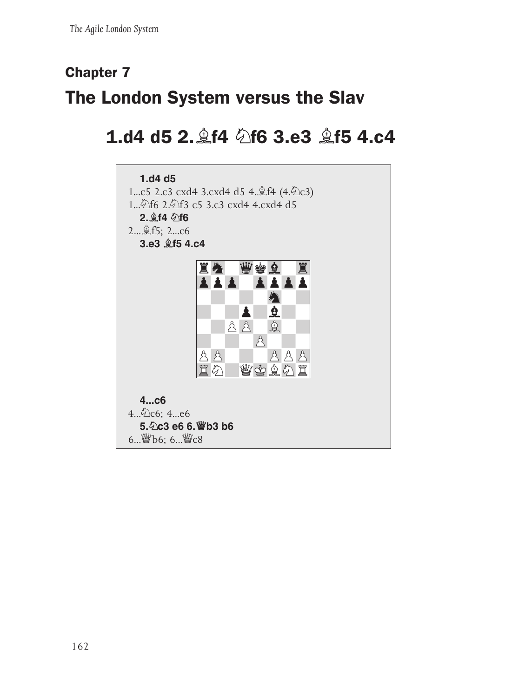## **Chapter 7 The London System versus the Slav**

### **1.d4 d5 2.♗f4 ♘f6 3.e3 ♗f5 4.c4**

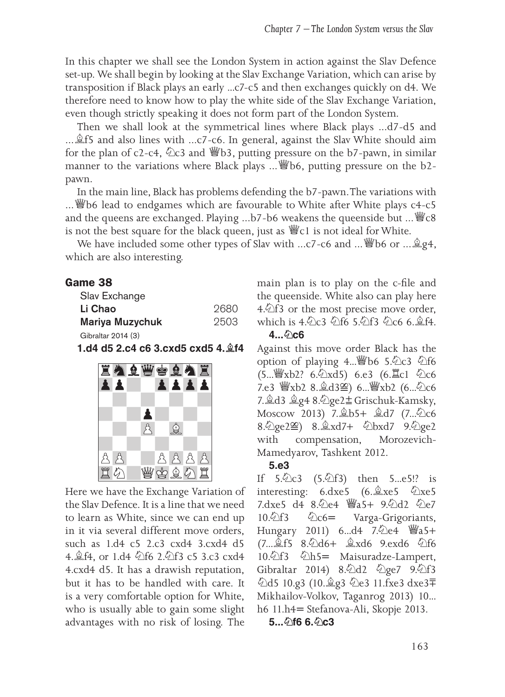In this chapter we shall see the London System in action against the Slav Defence set-up. We shall begin by looking at the Slav Exchange Variation, which can arise by transposition if Black plays an early ...c7-c5 and then exchanges quickly on d4. We therefore need to know how to play the white side of the Slav Exchange Variation, even though strictly speaking it does not form part of the London System.

Then we shall look at the symmetrical lines where Black plays ...d7-d5 and ...  $\hat{\mathbb{E}}$ f5 and also lines with ...c7-c6. In general, against the Slav White should aim for the plan of c2-c4, ♘c3 and ♕b3, putting pressure on the b7-pawn, in similar manner to the variations where Black plays ... *≝*b6, putting pressure on the b2pawn.

In the main line, Black has problems defending the b7-pawn. The variations with ...♕b6 lead to endgames which are favourable to White after White plays c4-c5 and the queens are exchanged. Playing ...b7-b6 weakens the queenside but ...♕c8 is not the best square for the black queen, just as  $\mathcal{W}_c1$  is not ideal for White.

We have included some other types of Slav with ...c7-c6 and ... *sigh*, which are also interesting.

#### **Game 38**

| Slav Exchange          |      |
|------------------------|------|
| Li Chao                | 2680 |
| <b>Mariya Muzychuk</b> | 2503 |
| Gibraltar 2014 (3)     |      |

**1.d4 d5 2.c4 c6 3.cxd5 cxd5 4.♗f4**



Here we have the Exchange Variation of the Slav Defence. It is a line that we need to learn as White, since we can end up in it via several different move orders, such as 1.d4 c5 2.c3 cxd4 3.cxd4 d5 4.♗f4, or 1.d4 ♘f6 2.♘f3 c5 3.c3 cxd4 4.cxd4 d5. It has a drawish reputation, but it has to be handled with care. It is a very comfortable option for White, who is usually able to gain some slight advantages with no risk of losing. The

main plan is to play on the c-file and the queenside. White also can play here  $4.\overline{\&}13$  or the most precise move order, which is 4.9 c3 9 f6 5.9 f3 9 c6 6. \$f4.

#### **4...♘c6**

Against this move order Black has the option of playing 4... @b6 5. @c3 @f6 (5...♕xb2? 6.♘xd5) 6.e3 (6.♖c1 ♘c6 7.e3 曾xb2 8. d3≌) 6...曾xb2 (6...<sup>2</sup>c6 7.♗d3 ♗g4 8.♘ge2⩱ Grischuk-Kamsky, Moscow 2013) 7.♗b5+ ♗d7 (7...♘c6 8. 2ge2≌) 8. 2xd7+ 2bxd7 9. 2ge2 with compensation, Morozevich-Mamedyarov, Tashkent 2012.

#### **5.e3**

If  $5.\&2c3$   $(5.\&2f3)$  then  $5...e5!$ ? is interesting: 6.dxe5 (6.♗xe5 ♘xe5 7.dxe5 d4 8.♘e4 ♕a5+ 9.♘d2 ♘e7 10. 行3 ①c6 = Varga-Grigoriants, Hungary 2011) 6...d4 7. he4 響a5+ (7...♗f5 8.♘d6+ ♗xd6 9.exd6 ♘f6 10. 行3 公h5 = Maisuradze-Lampert, Gibraltar 2014) 8. d2 公ge7 9. 公f3 ♘d5 10.g3 (10.♗g3 ♘e3 11.fxe3 dxe3⩲ Mikhailov-Volkov, Taganrog 2013) 10... h6 11.h4 = Stefanova-Ali, Skopje 2013.

#### **5...♘f6 6.♘c3**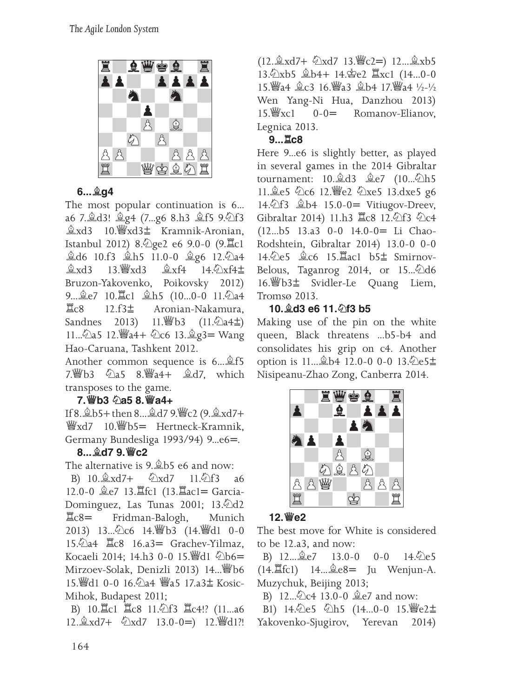

#### **6...♗g4**

The most popular continuation is 6... a6 7.♗d3! ♗g4 (7...g6 8.h3 ♗f5 9.♘f3 ♗xd3 10.♕xd3⩱ Kramnik-Aronian, Istanbul 2012) 8. ge2 e6 9.0-0 (9. 旦c1 **≜d6** 10.f3 *∗*h5 11.0-0 *±*<sub>g</sub>6 12.<sup>*b*</sup>a4 **≜xd3** 13. Указ ≜xf4 14.  $\angle$ xf4 $\pm$ Bruzon-Yakovenko, Poikovsky 2012) 9...♗e7 10.♖c1 ♗h5 (10...0-0 11.♘a4 ♖c8 12.f3⩱ Aronian-Nakamura, Sandnes 2013) 11. 9b3 (11. 2a4±) 11... 2a5 12. 彎a4+ 2c6 13. 2g3 = Wang Hao-Caruana, Tashkent 2012.

Another common sequence is 6...♗f5 7.♕b3 ♘a5 8.♕a4+ ♗d7, which transposes to the game.

#### **7.♕b3 ♘a5 8.♕a4+**

If 8.♗b5+ then 8...♗d7 9.♕c2 (9.♗xd7+ <sup>響</sup>xd7 10. ib5 = Hertneck-Kramnik, Germany Bundesliga 1993/94) 9...e6=.

#### **8...♗d7 9.♕c2**

The alternative is 9.♗b5 e6 and now:

B) 10.♗xd7+ ♘xd7 11.♘f3 a6 12.0-0 奠e7 13. fc1 (13. ac1 = Garcia-Dominguez, Las Tunas 2001; 13.♘d2  $\Xi$ c8= Fridman-Balogh, Munich 2013) 13...♘c6 14.♕b3 (14.♕d1 0-0 15. 2a4 耳c8 16.a3 = Grachev-Yilmaz, Kocaeli 2014: 14.h3 0-0 15. 4d1 2b6= Mirzoev-Solak, Denizli 2013) 14...♕b6 15. 当d1 0-0 16. 2a4 当a5 17.a3± Kosic-Mihok, Budapest 2011;

B) 10. Lc1 Lc8 11. hf3 Lc4!? (11...a6 12.  $\&$ xd7 + 公xd7 13.0-0=) 12. 彎d1?!

 $(12. \& \text{xd7} + \& \text{xd7}$  13.  $\text{w}$ <sup>c</sup><sub>2</sub>=) 12...  $\& \text{xb5}$ 13.♘xb5 ♗b4+ 14.♔e2 ♖xc1 (14...0-0 15.♕a4 ♗c3 16.♕a3 ♗b4 17.♕a4 ½-½ Wen Yang-Ni Hua, Danzhou 2013)<br>15. *k*ysel 0-0= Romanov-Elianov Romanov-Elianov, Legnica 2013.

#### **9...♖c8**

Here 9...e6 is slightly better, as played in several games in the 2014 Gibraltar tournament: 10. d3 鱼e7 (10...公h5 11.♗e5 ♘c6 12.♕e2 ♘xe5 13.dxe5 g6 14.  $\textcircled{1}$  f 3  $\textcircled{1}$  b 4 15.0-0 = Vitiugov-Dreev, Gibraltar 2014) 11.h3 耳c8 12.公f3 公c4  $(12...b5 \quad 13.a3 \quad 0-0 \quad 14.0-0 = \text{Li} \quad \text{Chao}$ Rodshtein, Gibraltar 2014) 13.0-0 0-0 14.♘e5 ♗c6 15.♖ac1 b5⩱ Smirnov-Belous, Taganrog 2014, or 15...♘d6 16.♕b3⩱ Svidler-Le Quang Liem, Tromsø 2013.

#### **10.♗d3 e6 11.♘f3 b5**

Making use of the pin on the white queen, Black threatens ...b5-b4 and consolidates his grip on c4. Another option is 11...♗b4 12.0-0 0-0 13.♘e5⩱ Nisipeanu-Zhao Zong, Canberra 2014.



#### **12.♕e2**

The best move for White is considered to be 12.a3, and now:

B)  $12...\hat{2}e7$   $13.0-0$   $0-0$   $14.\hat{2}e5$  $(14.\mathbb{Z}\text{fc1})$   $14...\mathbb{Z}\text{e8}$  Ju Wenjun-A. Muzychuk, Beijing 2013;

B) 12...♘c4 13.0-0 ♗e7 and now:

B1) 14. 仑e5 公h5 (14...0-0 15. 曾e2± Yakovenko-Sjugirov, Yerevan 2014)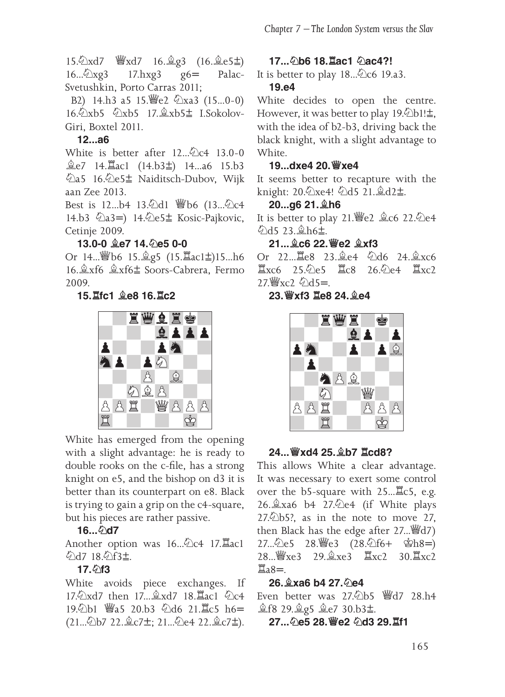15.♘xd7 ♕xd7 16.♗g3 (16.♗e5⩱) 16...<sup> $\angle$ </sup>xg3 17.hxg3 g6= Palac-Svetushkin, Porto Carras 2011;

B2) 14.h3 a5 15. 曾e2 公xa3 (15...0-0) 16. Oxb5 9xb5 17. \$xb5 ± LSokolov-Giri, Boxtel 2011.

#### **12...a6**

White is better after 12...∕ 2c4 13.0-0 ♗e7 14.♖ac1 (14.b3⩱) 14...a6 15.b3 ♘a5 16.♘e5⩱ Naiditsch-Dubov, Wijk aan Zee 2013.

Best is 12...b4 13. Dd1 *₩b6* (13... Dc4 14.b3 4a3=) 14.4e5 kosic-Pajkovic, Cetinje 2009.

#### **13.0-0 ♗e7 14.♘e5 0-0**

Or 14...♕b6 15.♗g5 (15.♖ac1⩱)15...h6 16.♗xf6 ♗xf6⩱ Soors-Cabrera, Fermo 2009.

#### **15.♖fc1 ♗e8 16.♖c2**



White has emerged from the opening with a slight advantage: he is ready to double rooks on the c-file, has a strong knight on e5, and the bishop on d3 it is better than its counterpart on e8. Black is trying to gain a grip on the c4-square, but his pieces are rather passive.

#### **16...♘d7**

Another option was 16... 2c4 17. Eacl ♘d7 18.♘f3⩱.

#### **17.♘f3**

White avoids piece exchanges. If 17. xd7 then 17... 2xd7 18. Lac1 2c4 19. b1 響a5 20.b3 公d6 21. lc5 h6= (21...公b7 22. 金c7±; 21...公e4 22. 金c7±).

#### **17...♘b6 18.♖ac1 ♘ac4?!**

It is better to play 18... 2c6 19.a3.

#### **19.e4**

White decides to open the centre. However, it was better to play  $19.②b1! \pm$ , with the idea of b2-b3, driving back the black knight, with a slight advantage to White.

#### **19...dxe4 20.♕xe4**

It seems better to recapture with the knight: 20.♘xe4! ♘d5 21.♗d2⩱.

#### **20...g6 21.♗h6**

It is better to play 21.♕e2 ♗c6 22.♘e4 ♘d5 23.♗h6⩱.

#### **21...♗c6 22.♕e2 ♗xf3**

Or 22...♖e8 23.♗e4 ♘d6 24.♗xc6 ♖xc6 25.♘e5 ♖c8 26.♘e4 ♖xc2 27. Yac2 のd5=

**23.♕xf3 ♖e8 24.♗e4**



#### **24...♕xd4 25.♗b7 ♖cd8?**

This allows White a clear advantage. It was necessary to exert some control over the b5-square with 25...♖c5, e.g. 26.♗xa6 b4 27.♘e4 (if White plays  $27.$  $\&$ b5?, as in the note to move 27, then Black has the edge after 27...♕d7) 27... ② e5 28. 瞥e3 (28. ④ f6+ 孛 h8=) 28...♕xe3 29.♗xe3 ♖xc2 30.♖xc2  $\mathbb{Z}$ <sub>a8=</sub>

#### **26.♗xa6 b4 27.♘e4**

Even better was 27.♘b5 ♕d7 28.h4 **盒f8 29. g5 盒e7 30.b3±.** 

**27...♘e5 28.♕e2 ♘d3 29.♖f1**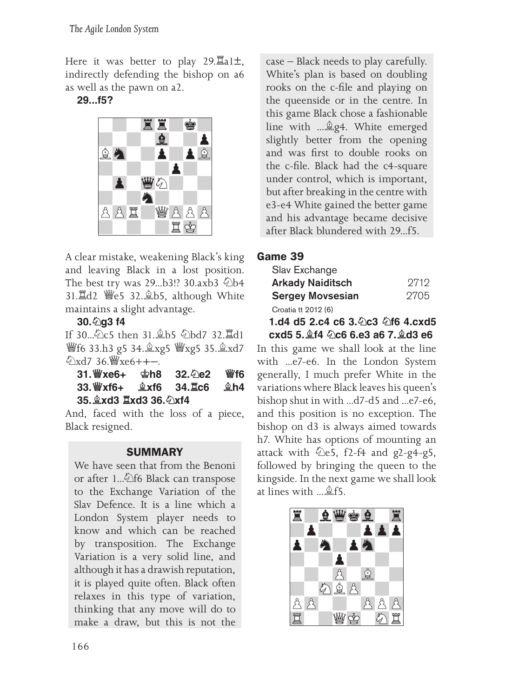Here it was better to play 29. $\mathbb{Z}$ a1 $\pm$ , indirectly defending the bishop on a6 as well as the pawn on a2.

#### **29...f5?**



A clear mistake, weakening Black's king and leaving Black in a lost position. The best try was 29...b3!? 30.axb3 2b4 31.♖d2 ♕e5 32.♗b5, although White maintains a slight advantage.

**30.♘g3 f4**

If 30...♘c5 then 31.♗b5 ♘bd7 32.♖d1 ♕f6 33.h3 g5 34.♗xg5 ♕xg5 35.♗xd7  $\sqrt{2}xd7$  36.  $\sqrt[3]{x}e6 + + -$ 

| 31. ≝്xe6+ േ്മh8 32. ⊘e2 |  |  | 營f6 |
|--------------------------|--|--|-----|
|                          |  |  |     |
| 35. gxd3 Ixd3 36. 2xf4   |  |  |     |

And, faced with the loss of a piece, Black resigned.

#### **SUMMARY**

We have seen that from the Benoni or after 1... <sup>①</sup>f6 Black can transpose to the Exchange Variation of the Slav Defence. It is a line which a London System player needs to know and which can be reached by transposition. The Exchange Variation is a very solid line, and although it has a drawish reputation, it is played quite often. Black often relaxes in this type of variation, thinking that any move will do to make a draw, but this is not the

case – Black needs to play carefully. White's plan is based on doubling rooks on the c-file and playing on the queenside or in the centre. In this game Black chose a fashionable line with ...♗g4. White emerged slightly better from the opening and was first to double rooks on the c-file. Black had the c4-square under control, which is important, but after breaking in the centre with e3-e4 White gained the better game and his advantage became decisive after Black blundered with 29...f5.

#### **Game 39**

| Slav Exchange           |      |
|-------------------------|------|
| <b>Arkady Naiditsch</b> | 9719 |
| <b>Sergey Movsesian</b> | 2705 |
| Croatia tt 2012 (6)     |      |

**1.d4 d5 2.c4 c6 3.♘c3 ♘f6 4.cxd5 cxd5 5.♗f4 ♘c6 6.e3 a6 7.♗d3 e6**

In this game we shall look at the line with ...e7-e6. In the London System generally, I much prefer White in the variations where Black leaves his queen's bishop shut in with ...d7-d5 and ...e7-e6, and this position is no exception. The bishop on d3 is always aimed towards h7. White has options of mounting an attack with  $\&e5$ , f2-f4 and g2-g4-g5, followed by bringing the queen to the kingside. In the next game we shall look at lines with ...♗f5.

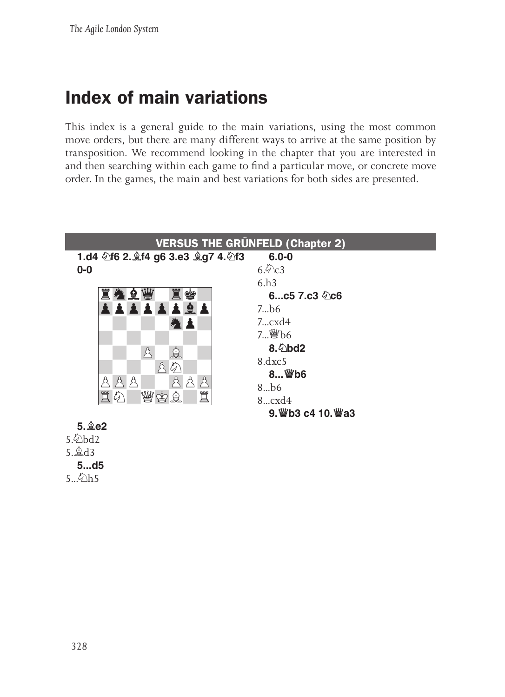### **Index of main variations**

This index is a general guide to the main variations, using the most common move orders, but there are many different ways to arrive at the same position by transposition. We recommend looking in the chapter that you are interested in and then searching within each game to find a particular move, or concrete move order. In the games, the main and best variations for both sides are presented.



 $5.\n\phi$  h5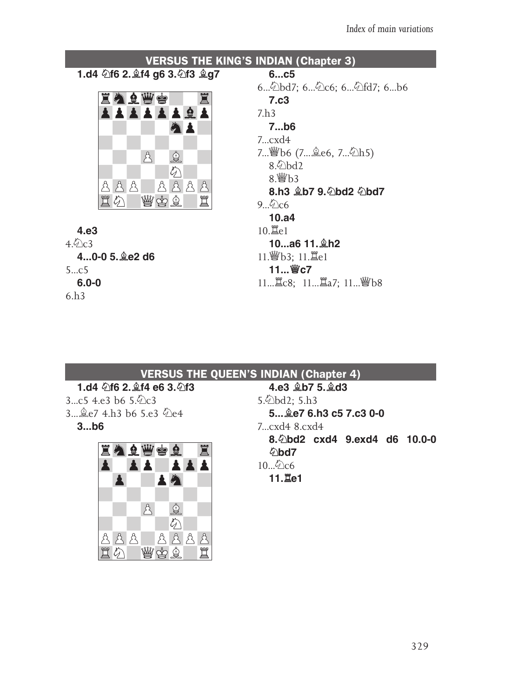

#### **VERSUS THE QUEEN'S INDIAN (Chapter 4)**

#### **1.d4 ♘f6 2.♗f4 e6 3.♘f3**   $3...c5$  4.e3 b6  $5\%c3$

3...♗e7 4.h3 b6 5.e3 ♘e4 **3...b6**



**4.e3 ♗b7 5.♗d3** 5.♘bd2; 5.h3 **5...♗e7 6.h3 c5 7.c3 0‑0** 7...cxd4 8.cxd4 **8.♘bd2 cxd4 9.exd4 d6 10.0‑0 ♘bd7**  $10...$ 2 $c6$ **11.♖e1**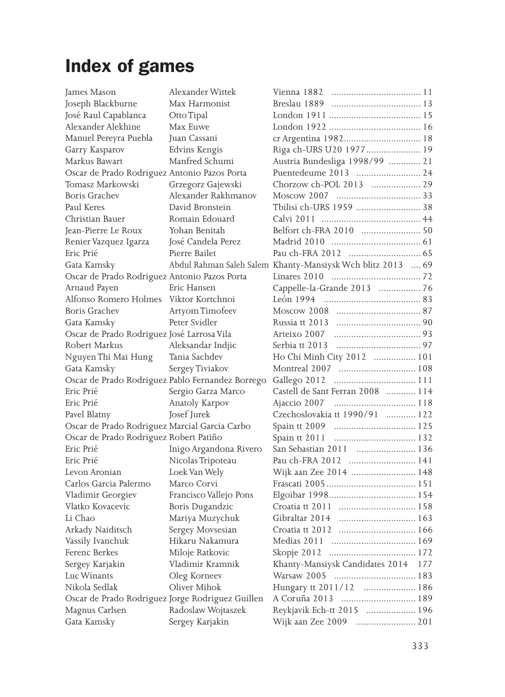## **Index of games**

| James Mason                                      | Alexander Wittek       | Vienna 1882                                                 |     |
|--------------------------------------------------|------------------------|-------------------------------------------------------------|-----|
| Joseph Blackburne                                | Max Harmonist          |                                                             |     |
| José Raul Capablanca                             | Otto Tipal             |                                                             |     |
| Alexander Alekhine                               | Max Euwe               |                                                             |     |
| Manuel Pereyra Puebla                            | Juan Cassani           |                                                             |     |
| Garry Kasparov                                   | Edvins Kengis          | Riga ch-URS U20 1977 19                                     |     |
| Markus Bawart                                    | Manfred Schumi         | Austria Bundesliga 1998/99  21                              |     |
| Oscar de Prado Rodriguez Antonio Pazos Porta     |                        | Puentedeume 2013  24                                        |     |
| Tomasz Markowski                                 | Grzegorz Gajewski      | Chorzow ch-POL 2013  29                                     |     |
| <b>Boris Grachev</b>                             | Alexander Rakhmanov    |                                                             |     |
| Paul Keres                                       | David Bronstein        | Tbilisi ch-URS 1959  38                                     |     |
| Christian Bauer                                  | Romain Edouard         |                                                             |     |
| Jean-Pierre Le Roux                              | Yohan Benitah          | Belfort ch-FRA 2010  50                                     |     |
| Renier Vazquez Igarza                            | José Candela Perez     |                                                             |     |
| Eric Prié                                        | Pierre Bailet          |                                                             |     |
| Gata Kamsky                                      |                        | Abdul Rahman Saleh Salem Khanty-Mansiysk Wch blitz 2013  69 |     |
| Oscar de Prado Rodriguez Antonio Pazos Porta     |                        |                                                             |     |
| Arnaud Payen                                     | Eric Hansen            | Cappelle-la-Grande 2013  76                                 |     |
| Alfonso Romero Holmes Viktor Kortchnoi           |                        |                                                             |     |
| Boris Grachev                                    | Artyom Timofeev        |                                                             |     |
| Gata Kamsky                                      | Peter Svidler          |                                                             |     |
| Oscar de Prado Rodriguez José Larrosa Vila       |                        |                                                             |     |
| Robert Markus                                    | Aleksandar Indjic      |                                                             |     |
| Nguyen Thi Mai Hung                              | Tania Sachdev          | Ho Chi Minh City 2012  101                                  |     |
| Gata Kamsky                                      | Sergey Tiviakov        |                                                             |     |
| Oscar de Prado Rodriguez Pablo Fernandez Borrego |                        |                                                             |     |
| Eric Prié                                        | Sergio Garza Marco     | Castell de Sant Ferran 2008  114                            |     |
| Eric Prié                                        | Anatoly Karpov         |                                                             |     |
| Pavel Blatny                                     | Josef Jurek            | Czechoslovakia tt 1990/91  122                              |     |
| Oscar de Prado Rodriguez Marcial Garcia Carbo    |                        |                                                             |     |
| Oscar de Prado Rodriguez Robert Patiño           |                        | Spain tt 2011                                               |     |
| Eric Prié                                        | Inigo Argandona Rivero | San Sebastian 2011  136                                     |     |
| Eric Prié                                        | Nicolas Tripoteau      | Pau ch-FRA 2012  141                                        |     |
| Levon Aronian                                    | Loek Van Wely          | Wijk aan Zee 2014  148                                      |     |
| Carlos Garcia Palermo                            | Marco Corvi            |                                                             |     |
| Vladimir Georgiev                                | Francisco Vallejo Pons |                                                             |     |
| Vlatko Kovacevic                                 | Boris Dugandzic        |                                                             |     |
| Li Chao                                          | Mariya Muzychuk        | Gibraltar 2014  163                                         |     |
| Arkady Naiditsch                                 | Sergey Movsesian       |                                                             |     |
| Vassily Ivanchuk                                 | Hikaru Nakamura        |                                                             |     |
| Ferenc Berkes                                    | Miloje Ratkovic        |                                                             |     |
| Sergey Karjakin                                  | Vladimir Kramnik       | Khanty-Mansiysk Candidates 2014                             | 177 |
| Luc Winants                                      | Oleg Korneev           |                                                             |     |
| Nikola Sedlak                                    | Oliver Mihok           | Hungary tt 2011/12  186                                     |     |
| Oscar de Prado Rodriguez Jorge Rodriguez Guillen |                        | A Coruña 2013  189                                          |     |
| Magnus Carlsen                                   | Radoslaw Wojtaszek     | Reykjavik Ech-tt 2015  196                                  |     |
| Gata Kamsky                                      | Sergey Karjakin        | Wijk aan Zee 2009                                           |     |